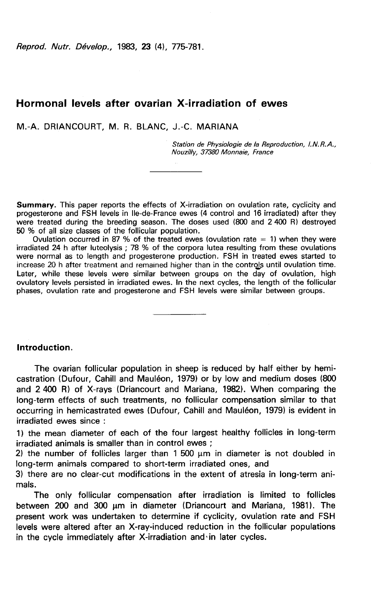Reprod. Nutr. Dévelop., 1983, 23 (4), 775-781.

# Hormonal levels after ovarian X-irradiation of ewes

M.-A. DRIANCOURT, M. R. BLANC, J.-C. MARIANA

Station de Physiologie de la Reproduction, I.N.R.A., Nouzilly, 37380 Monnaie, France

Summary. This paper reports the effects of X-irradiation on ovulation rate, cyclicity and<br>progesterone and FSH levels in Ile-de-France ewes (4 control and 16 irradiated) after they .<br>were treated during the breeding season. The doses used (800 and 2 400 R) destroyed 50 % of all size classes of the follicular population.

Ovulation occurred in 87 % of the treated ewes (ovulation rate  $= 1$ ) when they were irradiated 24 h after luteolysis ; 78 % of the corpora lutea resulting from these ovulations were normal as to length and progesterone production. FSH in treated ewes started to increase 20 h after treatment and remained higher than in the controls until ovulation time. Later, while these levels were similar between groups on the day of ovulation, high ovulatory levels persisted in irradiated ewes. In the next cycles, the length of the follicular phases, ovulation rate and progesterone and FSH levels were similar between groups.

## Introduction.

The ovarian follicular population in sheep is reduced by half either by hemicastration (Dufour, Cahill and Mauldon, 1979) or by low and medium doses (800 and 2 400 R) of X-rays (Driancourt and Mariana, 1982). When comparing the long-term effects of such treatments, no follicular compensation similar to that occurring in hemicastrated ewes (Dufour, Cahill and Maul6on, 1979) is evident in irradiated ewes since :

1) the mean diameter of each of the four largest healthy follicles in long-term irradiated animals is smaller than in control ewes ;

2) the number of follicles larger than  $1500 \mu m$  in diameter is not doubled in long-term animals compared to short-term irradiated ones, and

3) there are no clear-cut modifications in the extent of atresia in long-term animals.

The only follicular compensation after irradiation is limited to follicles between 200 and 300 wm in diameter (Driancourt and Mariana, 1981). The present work was undertaken to determine if cyclicity, ovulation rate and FSH levels were altered after an X-ray-induced reduction in the follicular populations in the cycle immediately after X-irradiation and in later cycles.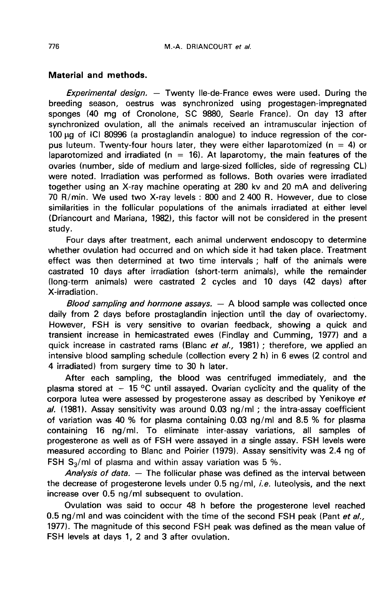## Material and methods.

Experimental design. — Twenty Ile-de-France ewes were used. During the breeding season, oestrus was synchronized using progestagen-impregnated sponges (40 mg of Cronolone, SC 9880, Searle France). On day 13 after synchronized ovulation, all the animals received an intramuscular injection of 100 pg of ICI 80996 (a prostaglandin analogue) to induce regression of the corpus luteum. Twenty-four hours later, they were either laparotomized ( $n = 4$ ) or laparotomized and irradiated ( $n = 16$ ). At laparotomy, the main features of the ovaries (number, side of medium and large-sized follicles, side of regressing CL) were noted. Irradiation was performed as follows. Both ovaries were irradiated together using an X-ray machine operating at 280 kv and 20 mA and delivering 70 R/min. We used two X-ray levels : 800 and 2 400 R. However, due to close similarities in the follicular populations of the animals irradiated at either level (Driancourt and Mariana, 1982), this factor will not be considered in the present study.

Four days after treatment, each animal underwent endoscopy to determine whether ovulation had occurred and on which side it had taken place. Treatment effect was then determined at two time intervals ; half of the animals were castrated 10 days after irradiation (short-term animals), while the remainder (long-term animals) were castrated 2 cycles and 10 days (42 days) after X-irradiation.

Blood sampling and hormone assays.  $-$  A blood sample was collected once daily from 2 days before prostaglandin injection until the day of ovariectomy. However, FSH is very sensitive to ovarian feedback, showing a quick and transient increase in hemicastrated ewes (Findlay and Cumming, 1977) and a quick increase in castrated rams (Blanc et al., 1981) ; therefore, we applied an intensive blood sampling schedule (collection every 2 h) in 6 ewes (2 control and 4 irradiated) from surgery time to 30 h later.

After each sampling, the blood was centrifuged immediately, and the plasma stored at  $-15$  °C until assayed. Ovarian cyclicity and the quality of the corpora lutea were assessed by progesterone assay as described by Yenikoye et al. (1981). Assay sensitivity was around 0.03 ng/ml; the intra-assay coefficient of variation was 40 % for plasma containing 0.03 ng/ml and 8.5 % for plasma containing 16 ng/ml. To eliminate inter-assay variations, all samples of progesterone as well as of FSH were assayed in a single assay. FSH levels were measured according to Blanc and Poirier (1979). Assay sensitivity was 2.4 ng of progesterone as well as of FSH were assayed in a single as<br>measured according to Blanc and Poirier (1979). Assay ser<br>FSH S<sub>3</sub>/ml of plasma and within assay variation was 5 %.<br>*Analysis of data*  $-$  The follicular phase wa

Analysis of data.  $-$  The follicular phase was defined as the interval between the decrease of progesterone levels under  $0.5$  ng/ml, *i.e.* luteolysis, and the next increase over 0.5 ng/ml subsequent to ovulation.

Ovulation was said to occur 48 h before the progesterone level reached 0.5 ng/ml and was coincident with the time of the second FSH peak (Pant et al., 1977). The magnitude of this second FSH peak was defined as the mean value of FSH levels at days 1, 2 and 3 after ovulation.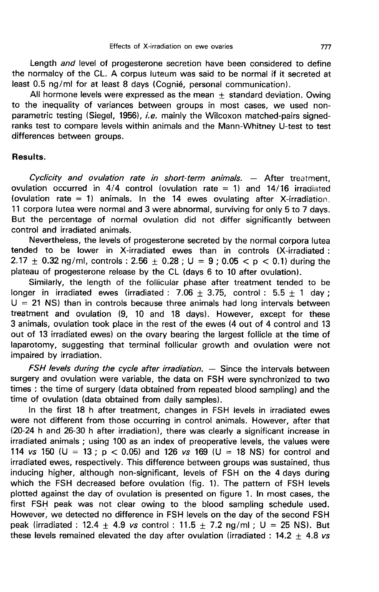Length and level of progesterone secretion have been considered to define the normalcy of the CL. A corpus luteum was said to be normal if it secreted at least 0.5 ng/ml for at least 8 days (Cognié, personal communication).

All hormone levels were expressed as the mean  $+$  standard deviation. Owing to the inequality of variances between groups in most cases, we used nonparametric testing (Siegel, 1956), i.e. mainly the Wilcoxon matched-pairs signedranks test to compare levels within animals and the Mann-Whitney U-test to test differences between groups.

#### Results.

Cyclicity and ovulation rate in short-term animals. ― After treatment, ovulation occurred in  $4/4$  control (ovulation rate  $= 1$ ) and  $14/16$  irradiated (ovulation rate  $= 1$ ) animals. In the 14 ewes ovulating after X-irradiation, 11 corpora lutea were normal and 3 were abnormal, surviving for only 5 to 7 days. But the percentage of normal ovulation did not differ significantly between control and irradiated animals.

Nevertheless, the levels of progesterone secreted by the normal corpora lutea tended to be lower in X-irradiated ewes than in controls (X-irradiated : 2.17  $\pm$  0.32 ng/ml, controls : 2.56  $\pm$  0.28 ; U = 9 ; 0.05  $\lt p \lt 0.1$ ) during the plateau of progesterone release by the CL (days 6 to 10 after ovulation).

Similarly, the length of the follicular phase after treatment tended to be longer in irradiated ewes (irradiated : 7.06  $\pm$  3.75, control : 5.5  $\pm$  1 day ;  $U = 21$  NS) than in controls because three animals had long intervals between treatment and ovulation (9, 10 and 18 days). However, except for these 3 animals, ovulation took place in the rest of the ewes (4 out of 4 control and 13 out of 13 irradiated ewes) on the ovary bearing the largest follicle at the time of laparotomy, suggesting that terminal follicular growth and ovulation were not impaired by irradiation.

 $FSH$  levels during the cycle after irradiation.  $-$  Since the intervals between surgery and ovulation were variable, the data on FSH were synchronized to two times : the time of surgery (data obtained from repeated blood sampling) and the time of ovulation (data obtained from daily samples).

In the first 18 h after treatment, changes in FSH levels in irradiated ewes were not different from those occurring in control animals. However, after that (20-24 h and 26-30 h after irradiation), there was clearly a significant increase in irradiated animals ; using 100 as an index of preoperative levels, the values were 114 vs 150 (U = 13 ;  $p < 0.05$ ) and 126 vs 169 (U = 18 NS) for control and irradiated ewes, respectively. This difference between groups was sustained, thus inducing higher, although non-significant, levels of FSH on the 4 days during which the FSH decreased before ovulation (fig. 1). The pattern of FSH levels plotted against the day of ovulation is presented on figure 1. In most cases, the first FSH peak was not clear owing to the blood sampling schedule used. However, we detected no difference in FSH levels on the day of the second FSH peak (irradiated : 12.4  $\pm$  4.9 vs control : 11.5  $\pm$  7.2 ng/ml ; U = 25 NS). But these levels remained elevated the day after ovulation (irradiated : 14.2  $\pm$  4.8 vs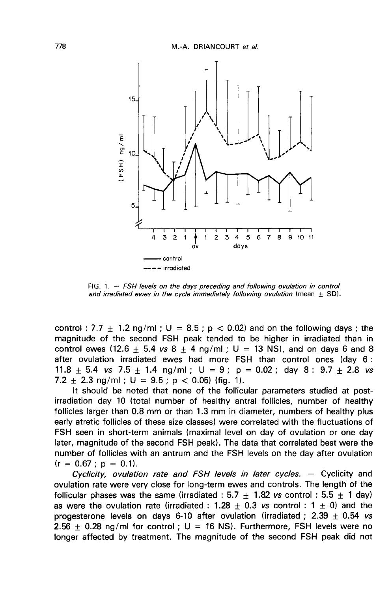

FIG. 1. - FSH levels on the days preceding and following ovulation in control and irradiated ewes in the cycle immediately following ovulation (mean  $\pm$  SD).

control : 7.7  $\pm$  1.2 ng/ml ; U = 8.5 ; p < 0.02) and on the following days ; the magnitude of the second FSH peak tended to be higher in irradiated than in control ewes (12.6  $\pm$  5.4 vs 8  $\pm$  4 ng/ml; U = 13 NS), and on days 6 and 8 after ovulation irradiated ewes had more FSH than control ones (day 6 : control ewes (12.6  $\pm$  5.4 *vs* 8  $\pm$  4 ng/ml ; U = 13 NS), and on days 6 and 8<br>after ovulation irradiated ewes had more FSH than control ones (day 6 :<br>11.8  $\pm$  5.4 *vs* 7.5  $\pm$  1.4 ng/ml ; U = 9 ; p = 0.02 ; day 8 : 7.2 + 2.3 ng/ml;  $U = 9.5$ ;  $p < 0.05$ ) (fig. 1).

It should be noted that none of the follicular parameters studied at postirradiation day 10 (total number of healthy antral follicles, number of healthy follicles larger than 0.8 mm or than 1.3 mm in diameter, numbers of healthy plus early atretic follicles of these size classes) were correlated with the fluctuations of FSH seen in short-term animals (maximal level on day of ovulation or one day later, magnitude of the second FSH peak). The data that correlated best were the number of follicles with an antrum and the FSH levels on the day after ovulation  $(r = 0.67 : p = 0.1)$ .

Cyclicity, ovulation rate and FSH levels in later cycles.  $-$  Cyclicity and ovulation rate were very close for long-term ewes and controls. The length of the follicular phases was the same (irradiated :  $5.7 + 1.82$  vs control :  $5.5 \pm 1$  day) as were the ovulation rate (irradiated : 1.28  $\pm$  0.3 vs control : 1  $\pm$  0) and the progesterone levels on days 6-10 after ovulation (irradiated ;  $2.39 \pm 0.54$  vs 2.56  $\pm$  0.28 ng/ml for control ; U = 16 NS). Furthermore, FSH levels were no longer affected by treatment. The magnitude of the second FSH peak did not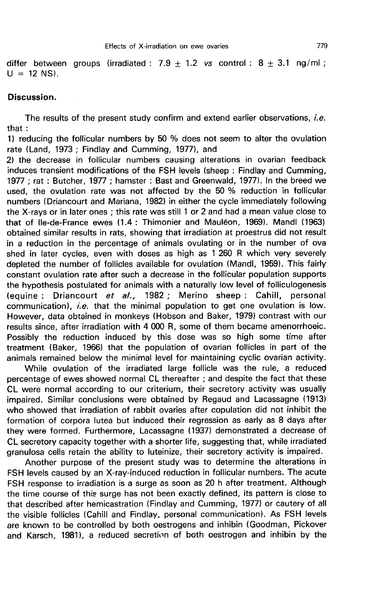differ between groups (irradiated : 7.9 + 1.2 vs control :  $8 + 3.1$  ng/ml ;  $U = 12$  NS).

#### Discussion.

The results of the present study confirm and extend earlier observations, *i.e.* that :

1) reducing the follicular numbers by 50 % does not seem to alter the ovulation rate (Land, 1973 ; Findlay and Cumming, 1977), and

2) the decrease in follicular numbers causing alterations in ovarian feedback induces transient modifications of the FSH levels (sheep : Findlay and Cumming, 1977 ; rat : Butcher, 1977 ; hamster : Bast and Greenwald, 1977). In the breed we used, the ovulation rate was not affected by the 50 % reduction in follicular numbers (Driancourt and Mariana, 1982) in either the cycle immediately following the X-rays or in later ones ; this rate was still 1 or 2 and had a mean value close to that of Ile-de-France ewes (1.4 : Thimonier and Maul6on, 1969). Mandl (1963) obtained similar results in rats, showing that irradiation at proestrus did not result in a reduction in the percentage of animals ovulating or in the number of ova shed in later cycles, even with doses as high as 1 260 R which very severely depleted the number of follicles available for ovulation (Mandl, 1959). This fairly constant ovulation rate after such a decrease in the follicular population supports the hypothesis postulated for animals with a naturally low level of folliculogenesis (equine : Driancourt et al., 1982 ; Merino sheep : Cahill, personal communication), i.e. that the minimal population to get one ovulation is low. However, data obtained in monkeys (Hobson and Baker, 1979) contrast with our results since, after irradiation with 4 000 R, some of them became amenorrhoeic. Possibly the reduction induced by this dose was so high some time after treatment (Baker, 1966) that the population of ovarian follicles in part of the animals remained below the minimal level for maintaining cyclic ovarian activity.

While ovulation of the irradiated large follicle was the rule, a reduced percentage of ewes showed normal CL thereafter ; and despite the fact that these CL were normal according to our criterium, their secretory activity was usually impaired. Similar conclusions were obtained by Regaud and Lacassagne (1913) who showed that irradiation of rabbit ovaries after copulation did not inhibit the formation of corpora lutea but induced their regression as early as 8 days after they were formed. Furthermore, Lacassagne (1937) demonstrated a decrease of CL secretory capacity together with a shorter life, suggesting that, while irradiated granulosa cells retain the ability to luteinize, their secretory activity is impaired.

Another purpose of the present study was to determine the alterations in FSH levels caused by an X-ray-induced reduction in follicular numbers. The acute FSH response to irradiation is a surge as soon as 20 h after treatment. Although the time course of this surge has not been exactly defined, its pattern is close to that described after hemicastration (Findlay and Cumming, 1977) or cautery of all the visible follicles (Cahill and Findlay, personal communication). As FSH levels are known to be controlled by both oestrogens and inhibin (Goodman, Pickover and Karsch, 1981), a reduced secretion of both oestrogen and inhibin by the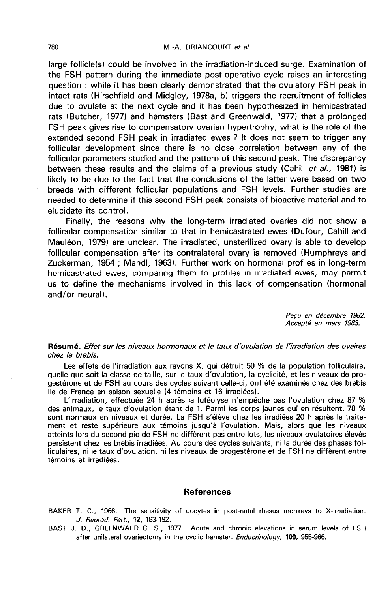large follicle(s) could be involved in the irradiation-induced surge. Examination of the FSH pattern during the immediate post-operative cycle raises an interesting question : while it has been clearly demonstrated that the ovulatory FSH peak in intact rats (Hirschfield and Midgley, 1978a, b) triggers the recruitment of follicles due to ovulate at the next cycle and it has been hypothesized in hemicastrated rats (Butcher, 1977) and hamsters (Bast and Greenwald, 1977) that a prolonged FSH peak gives rise to compensatory ovarian hypertrophy, what is the role of the extended second FSH peak in irradiated ewes ? It does not seem to trigger any follicular development since there is no close correlation between any of the follicular parameters studied and the pattern of this second peak. The discrepancy between these results and the claims of a previous study (Cahill et al., 1981) is likely to be due to the fact that the conclusions of the latter were based on two breeds with different follicular populations and FSH levels. Further studies are needed to determine if this second FSH peak consists of bioactive material and to elucidate its control.

Finally, the reasons why the long-term irradiated ovaries did not show a follicular compensation similar to that in hemicastrated ewes (Dufour, Cahill and Mauléon, 1979) are unclear. The irradiated, unsterilized ovary is able to develop follicular compensation after its contralateral ovary is removed (Humphreys and Zuckerman, 1954 ; Mandl, 1963). Further work on hormonal profiles in long-term hemicastrated ewes, comparing them to profiles in irradiated ewes, may permit us to define the mechanisms involved in this lack of compensation (hormonal and/or neural).

> Recu en décembre 1982. Accepte en mars 1983.

#### Résumé. Effet sur les niveaux hormonaux et le taux d'ovulation de l'irradiation des ovaires chez la brebis.

Les effets de l'irradiation aux rayons X, qui détruit 50 % de la population folliculaire, quelle que soit la classe de taille, sur le taux d'ovulation, la cyclicité, et les niveaux de progestérone et de FSH au cours des cycles suivant celle-ci, ont été examinés chez des brebis Ile de France en saison sexuelle (4 témoins et 16 irradiées).

L'irradiation, effectuée 24 h après la lutéolyse n'empêche pas l'ovulation chez 87 % des animaux, le taux d'ovulation étant de 1. Parmi les corps jaunes qui en résultent, 78 % sont normaux en niveaux et durée. La FSH s'élève chez les irradiées 20 h après le traitement et reste supérieure aux témoins jusqu'à l'ovulation. Mais, alors que les niveaux atteints lors du second pic de FSH ne diffèrent pas entre lots, les niveaux ovulatoires élevés persistent chez les brebis irradiées. Au cours des cycles suivants, ni la durée des phases folliculaires, ni le taux d'ovulation, ni les niveaux de progestérone et de FSH ne diffèrent entre témoins et irradiées.

#### References

BAKER T. C., 1966. The sensitivity of oocytes in post-natal rhesus monkeys to X-irradiation. J. Reprod. Fert., 12, 183-192.

BAST J. D., GREENWALD G. S., 1977. Acute and chronic elevations in serum levels of FSH after unilateral ovariectomy in the cyclic hamster. Endocrinology, 100, 955-966.